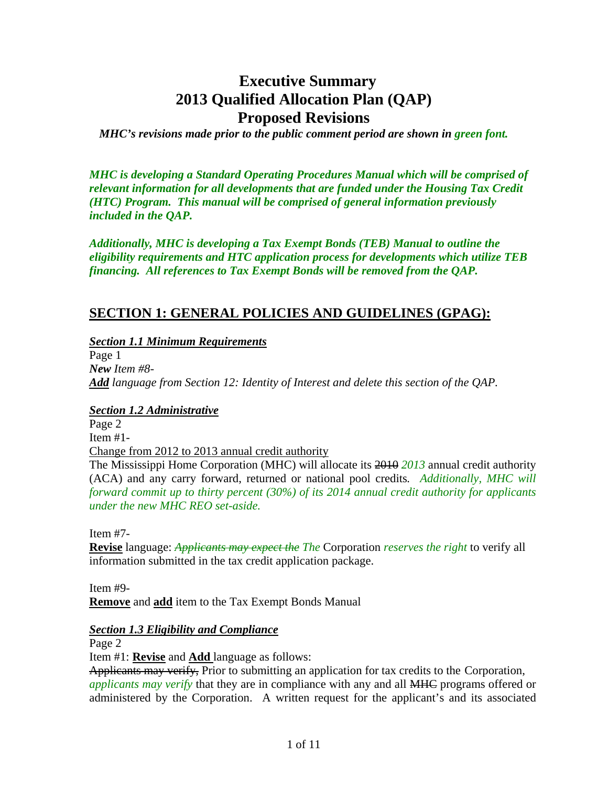# **Executive Summary 2013 Qualified Allocation Plan (QAP) Proposed Revisions**

*MHC's revisions made prior to the public comment period are shown in green font.* 

*MHC is developing a Standard Operating Procedures Manual which will be comprised of relevant information for all developments that are funded under the Housing Tax Credit (HTC) Program. This manual will be comprised of general information previously included in the QAP.* 

*Additionally, MHC is developing a Tax Exempt Bonds (TEB) Manual to outline the eligibility requirements and HTC application process for developments which utilize TEB financing. All references to Tax Exempt Bonds will be removed from the QAP.* 

# **SECTION 1: GENERAL POLICIES AND GUIDELINES (GPAG):**

## *Section 1.1 Minimum Requirements*

Page 1 *New Item #8- Add language from Section 12: Identity of Interest and delete this section of the QAP.* 

## *Section 1.2 Administrative*

Page 2 Item #1-

Change from 2012 to 2013 annual credit authority

The Mississippi Home Corporation (MHC) will allocate its 2010 *2013* annual credit authority (ACA) and any carry forward, returned or national pool credits*. Additionally, MHC will forward commit up to thirty percent (30%) of its 2014 annual credit authority for applicants under the new MHC REO set-aside.* 

Item #7-

**Revise** language: *Applicants may expect the The* Corporation *reserves the right* to verify all information submitted in the tax credit application package.

Item #9- **Remove** and **add** item to the Tax Exempt Bonds Manual

## *Section 1.3 Eligibility and Compliance*

Page 2

Item #1: **Revise** and **Add** language as follows:

Applicants may verify, Prior to submitting an application for tax credits to the Corporation, *applicants may verify* that they are in compliance with any and all MHC programs offered or administered by the Corporation. A written request for the applicant's and its associated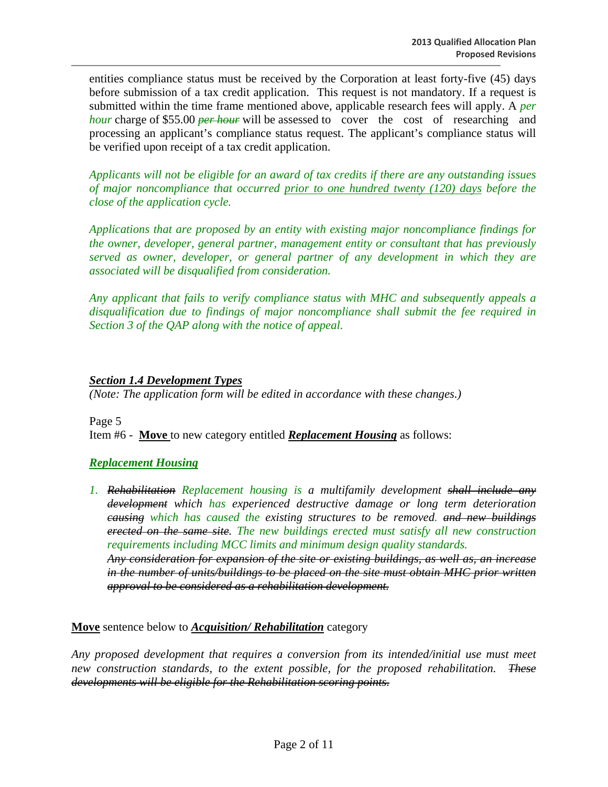entities compliance status must be received by the Corporation at least forty-five (45) days before submission of a tax credit application. This request is not mandatory. If a request is submitted within the time frame mentioned above, applicable research fees will apply. A *per hour* charge of \$55.00 *per hour* will be assessed to cover the cost of researching and processing an applicant's compliance status request. The applicant's compliance status will be verified upon receipt of a tax credit application.

*Applicants will not be eligible for an award of tax credits if there are any outstanding issues of major noncompliance that occurred prior to one hundred twenty (120) days before the close of the application cycle.* 

*Applications that are proposed by an entity with existing major noncompliance findings for the owner, developer, general partner, management entity or consultant that has previously served as owner, developer, or general partner of any development in which they are associated will be disqualified from consideration.* 

*Any applicant that fails to verify compliance status with MHC and subsequently appeals a disqualification due to findings of major noncompliance shall submit the fee required in Section 3 of the QAP along with the notice of appeal.* 

#### *Section 1.4 Development Types*

*(Note: The application form will be edited in accordance with these changes.)* 

Page 5 Item #6 - **Move** to new category entitled *Replacement Housing* as follows:

## *Replacement Housing*

*1. Rehabilitation Replacement housing is a multifamily development shall include any development which has experienced destructive damage or long term deterioration causing which has caused the existing structures to be removed. and new buildings erected on the same site. The new buildings erected must satisfy all new construction requirements including MCC limits and minimum design quality standards. Any consideration for expansion of the site or existing buildings, as well as, an increase* 

*in the number of units/buildings to be placed on the site must obtain MHC prior written approval to be considered as a rehabilitation development.* 

**Move** sentence below to *Acquisition/ Rehabilitation* category

*Any proposed development that requires a conversion from its intended/initial use must meet new construction standards, to the extent possible, for the proposed rehabilitation. These developments will be eligible for the Rehabilitation scoring points.*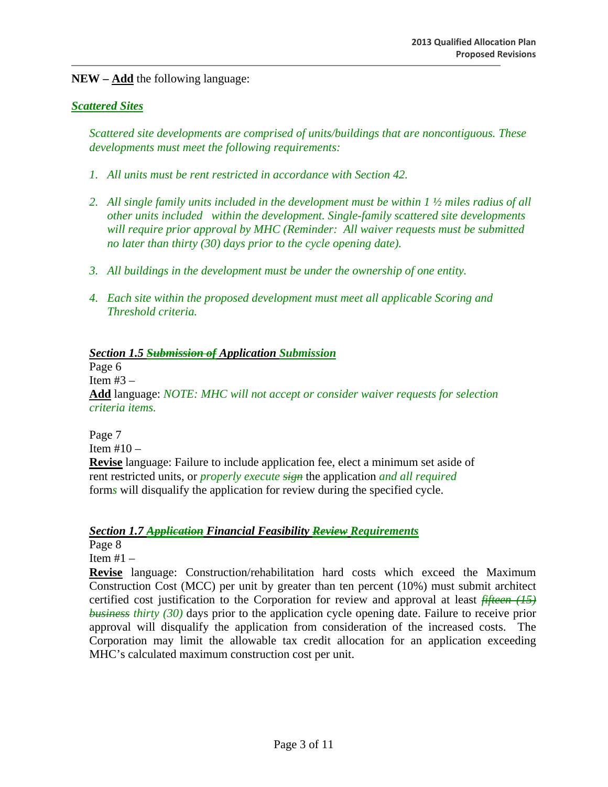**NEW – Add** the following language:

#### *Scattered Sites*

*Scattered site developments are comprised of units/buildings that are noncontiguous. These developments must meet the following requirements:* 

- *1. All units must be rent restricted in accordance with Section 42.*
- *2. All single family units included in the development must be within 1 ½ miles radius of all other units included within the development. Single-family scattered site developments will require prior approval by MHC (Reminder: All waiver requests must be submitted no later than thirty (30) days prior to the cycle opening date).*
- *3. All buildings in the development must be under the ownership of one entity.*
- *4. Each site within the proposed development must meet all applicable Scoring and Threshold criteria.*

#### *Section 1.5 Submission of Application Submission*

Page 6

Item #3 *–* 

**Add** language: *NOTE: MHC will not accept or consider waiver requests for selection criteria items.* 

Page 7 Item #10 *–*  **Revise** language: Failure to include application fee, elect a minimum set aside of rent restricted units, or *properly execute sign* the application *and all required* form*s* will disqualify the application for review during the specified cycle.

#### *Section 1.7 Application Financial Feasibility Review Requirements*

Page 8

Item #1 –

**Revise** language: Construction/rehabilitation hard costs which exceed the Maximum Construction Cost (MCC) per unit by greater than ten percent (10%) must submit architect certified cost justification to the Corporation for review and approval at least *fifteen (15) business thirty (30)* days prior to the application cycle opening date. Failure to receive prior approval will disqualify the application from consideration of the increased costs. The Corporation may limit the allowable tax credit allocation for an application exceeding MHC's calculated maximum construction cost per unit.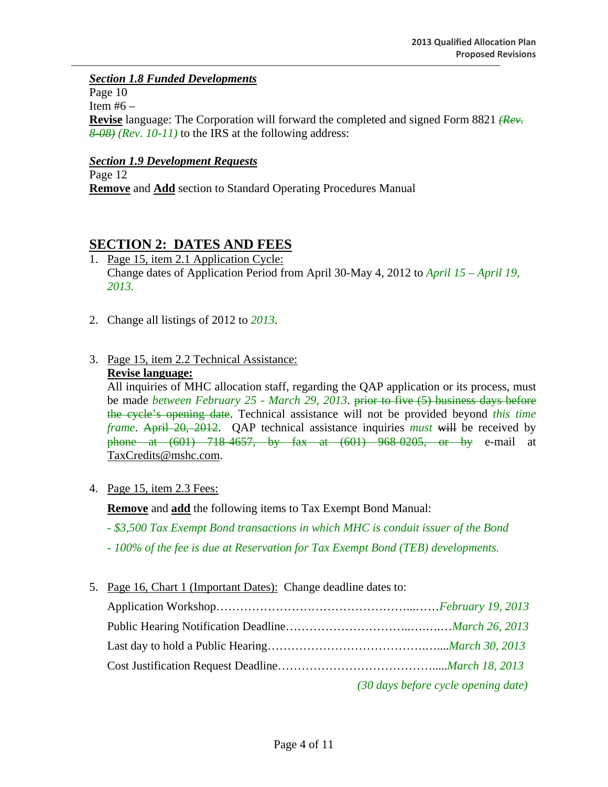## *Section 1.8 Funded Developments*

Page 10

Item  $#6 -$ 

**Revise** language: The Corporation will forward the completed and signed Form 8821 *(Rev. 8-08) (Rev. 10-11)* to the IRS at the following address:

## *Section 1.9 Development Requests*

Page 12 **Remove** and **Add** section to Standard Operating Procedures Manual

# **SECTION 2: DATES AND FEES**

- 1. Page 15, item 2.1 Application Cycle: Change dates of Application Period from April 30-May 4, 2012 to *April 15 – April 19, 2013.*
- 2. Change all listings of 2012 to *2013*.
- 3. Page 15, item 2.2 Technical Assistance:

#### **Revise language:**

All inquiries of MHC allocation staff, regarding the QAP application or its process, must be made *between February 25 - March 29, 2013*. prior to five (5) business days before the cycle's opening date. Technical assistance will not be provided beyond *this time frame*. April 20, 2012. QAP technical assistance inquiries *must* will be received by phone at (601) 718-4657, by fax at (601) 968-0205, or by e-mail at TaxCredits@mshc.com.

4. Page 15, item 2.3 Fees:

**Remove** and **add** the following items to Tax Exempt Bond Manual:

- *\$3,500 Tax Exempt Bond transactions in which MHC is conduit issuer of the Bond*
- *100% of the fee is due at Reservation for Tax Exempt Bond (TEB) developments.*
- 5. Page 16, Chart 1 (Important Dates): Change deadline dates to:

| (30 days before cycle opening date) |
|-------------------------------------|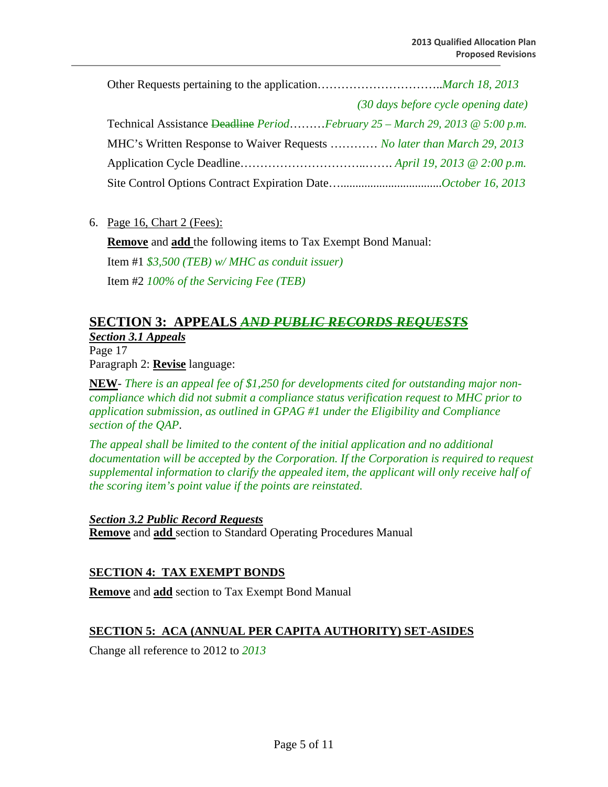|                                                                                          | (30 days before cycle opening date) |  |
|------------------------------------------------------------------------------------------|-------------------------------------|--|
| Technical Assistance Deadline PeriodFebruary $25 - March\ 29$ , $2013 \ @ \ 5:00 \ p.m.$ |                                     |  |
| MHC's Written Response to Waiver Requests  No later than March 29, 2013                  |                                     |  |
|                                                                                          |                                     |  |
|                                                                                          |                                     |  |

#### 6. Page 16, Chart 2 (Fees):

**Remove** and **add** the following items to Tax Exempt Bond Manual:

Item #1 *\$3,500 (TEB) w/ MHC as conduit issuer)* 

Item #2 *100% of the Servicing Fee (TEB)* 

# **SECTION 3: APPEALS** *AND PUBLIC RECORDS REQUESTS*

*Section 3.1 Appeals*  Page 17 Paragraph 2: **Revise** language:

**NEW**- *There is an appeal fee of \$1,250 for developments cited for outstanding major noncompliance which did not submit a compliance status verification request to MHC prior to application submission, as outlined in GPAG #1 under the Eligibility and Compliance section of the QAP*.

*The appeal shall be limited to the content of the initial application and no additional*  documentation will be accepted by the Corporation. If the Corporation is required to request *supplemental information to clarify the appealed item, the applicant will only receive half of the scoring item's point value if the points are reinstated.* 

*Section 3.2 Public Record Requests* **Remove** and **add** section to Standard Operating Procedures Manual

## **SECTION 4: TAX EXEMPT BONDS**

**Remove** and **add** section to Tax Exempt Bond Manual

## **SECTION 5: ACA (ANNUAL PER CAPITA AUTHORITY) SET-ASIDES**

Change all reference to 2012 to *2013*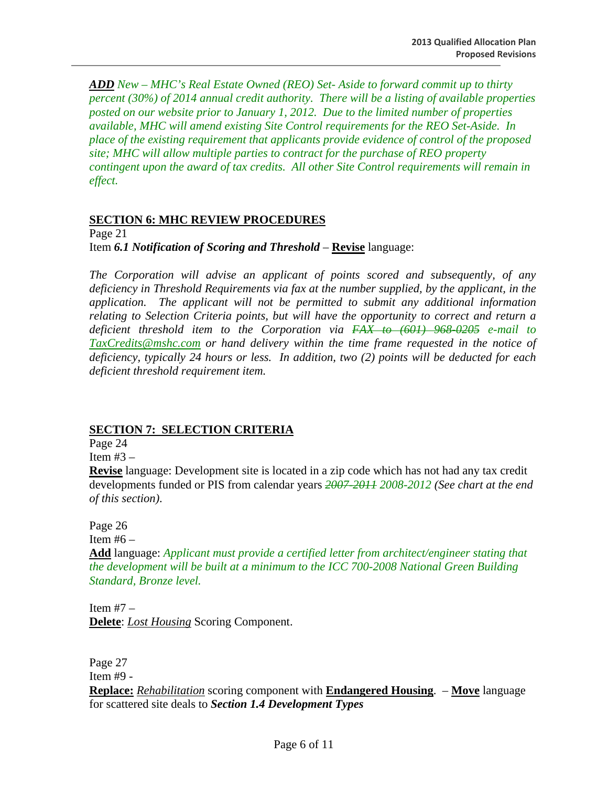*ADD New – MHC's Real Estate Owned (REO) Set- Aside to forward commit up to thirty percent (30%) of 2014 annual credit authority. There will be a listing of available properties posted on our website prior to January 1, 2012. Due to the limited number of properties available, MHC will amend existing Site Control requirements for the REO Set-Aside. In place of the existing requirement that applicants provide evidence of control of the proposed site; MHC will allow multiple parties to contract for the purchase of REO property contingent upon the award of tax credits. All other Site Control requirements will remain in effect.* 

#### **SECTION 6: MHC REVIEW PROCEDURES**

Page 21

Item *6.1 Notification of Scoring and Threshold* – **Revise** language:

*The Corporation will advise an applicant of points scored and subsequently, of any deficiency in Threshold Requirements via fax at the number supplied, by the applicant, in the application. The applicant will not be permitted to submit any additional information relating to Selection Criteria points, but will have the opportunity to correct and return a deficient threshold item to the Corporation via FAX to (601) 968-0205 e-mail to TaxCredits@mshc.com or hand delivery within the time frame requested in the notice of deficiency, typically 24 hours or less. In addition, two (2) points will be deducted for each deficient threshold requirement item.*

## **SECTION 7: SELECTION CRITERIA**

Page 24

Item  $#3 -$ 

**Revise** language: Development site is located in a zip code which has not had any tax credit developments funded or PIS from calendar years *2007-2011 2008-2012 (See chart at the end of this section)*.

Page 26

Item  $#6 -$ 

**Add** language: *Applicant must provide a certified letter from architect/engineer stating that the development will be built at a minimum to the ICC 700-2008 National Green Building Standard, Bronze level.* 

Item  $#7 -$ **Delete**: *Lost Housing* Scoring Component.

Page 27 Item #9 - **Replace:** *Rehabilitation* scoring component with **Endangered Housing**. – **Move** language for scattered site deals to *Section 1.4 Development Types*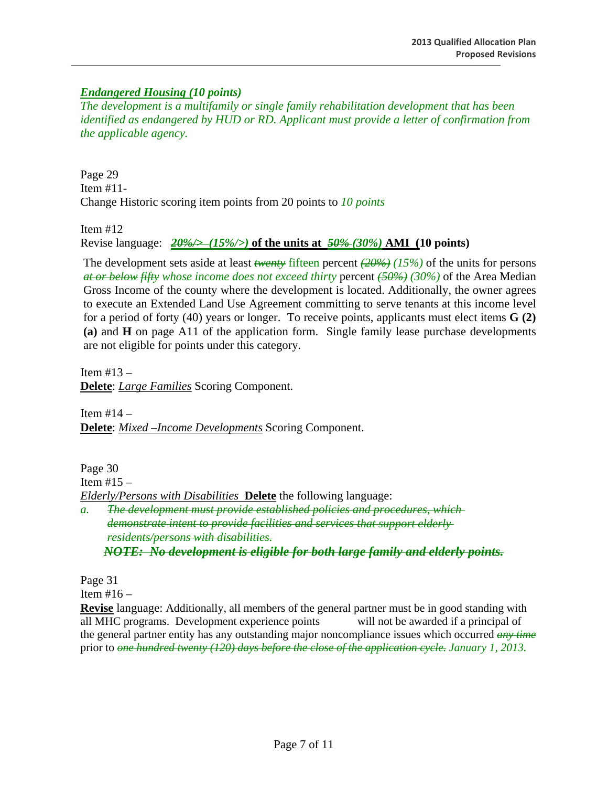## *Endangered Housing (10 points)*

*The development is a multifamily or single family rehabilitation development that has been identified as endangered by HUD or RD. Applicant must provide a letter of confirmation from the applicable agency.* 

Page 29 Item #11- Change Historic scoring item points from 20 points to *10 points* 

Item #12

Revise language: *20%/> (15%/>)* **of the units at** *50% (30%)* **AMI (10 points)**

The development sets aside at least *twenty* fifteen percent *(20%) (15%)* of the units for persons *at or below fifty whose income does not exceed thirty* percent *(50%) (30%)* of the Area Median Gross Income of the county where the development is located. Additionally, the owner agrees to execute an Extended Land Use Agreement committing to serve tenants at this income level for a period of forty (40) years or longer. To receive points, applicants must elect items **G (2) (a)** and **H** on page A11 of the application form. Single family lease purchase developments are not eligible for points under this category.

Item  $#13 -$ **Delete**: *Large Families* Scoring Component.

Item  $#14 -$ **Delete**: *Mixed –Income Developments* Scoring Component.

Page 30 Item  $#15 -$ *Elderly/Persons with Disabilities* **Delete** the following language:  *a. The development must provide established policies and procedures, which demonstrate intent to provide facilities and services that support elderly residents/persons with disabilities.* 

*NOTE: No development is eligible for both large family and elderly points.*

Page 31

Item  $#16 -$ 

**Revise** language: Additionally, all members of the general partner must be in good standing with all MHC programs. Development experience points will not be awarded if a principal of the general partner entity has any outstanding major noncompliance issues which occurred *any time* prior to *one hundred twenty (120) days before the close of the application cycle. January 1, 2013.*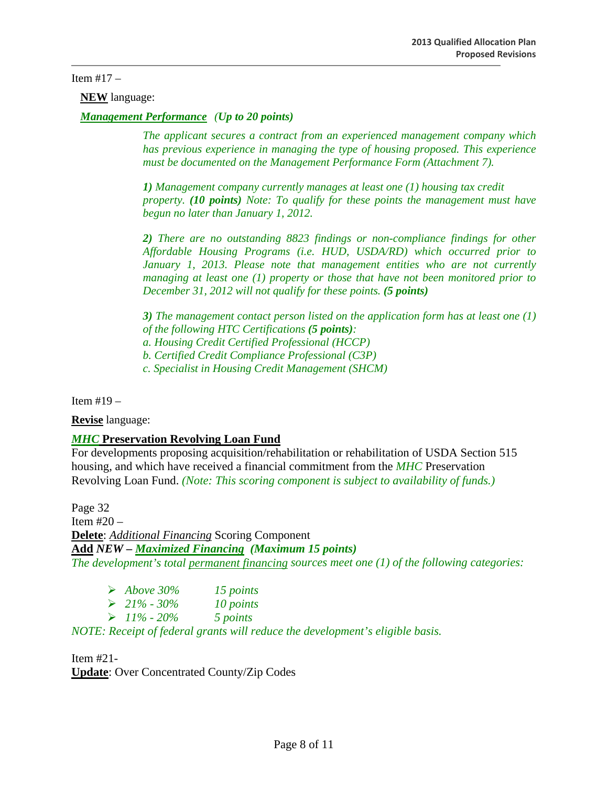#### Item  $#17 -$

**NEW** language:

*Management Performance (Up to 20 points)* 

 *The applicant secures a contract from an experienced management company which has previous experience in managing the type of housing proposed. This experience must be documented on the Management Performance Form (Attachment 7).* 

*1) Management company currently manages at least one (1) housing tax credit property. (10 points) Note: To qualify for these points the management must have begun no later than January 1, 2012.* 

*2) There are no outstanding 8823 findings or non-compliance findings for other Affordable Housing Programs (i.e. HUD, USDA/RD) which occurred prior to January 1, 2013. Please note that management entities who are not currently managing at least one (1) property or those that have not been monitored prior to December 31, 2012 will not qualify for these points. (5 points)*

 *3) The management contact person listed on the application form has at least one (1) of the following HTC Certifications (5 points):* 

 *a. Housing Credit Certified Professional (HCCP)* 

 *b. Certified Credit Compliance Professional (C3P)* 

 *c. Specialist in Housing Credit Management (SHCM)* 

Item  $#19 -$ 

**Revise** language:

#### *MHC* **Preservation Revolving Loan Fund**

For developments proposing acquisition/rehabilitation or rehabilitation of USDA Section 515 housing, and which have received a financial commitment from the *MHC* Preservation Revolving Loan Fund. *(Note: This scoring component is subject to availability of funds.)* 

Page 32 Item #20 – **Delete**: *Additional Financing* Scoring Component **Add** *NEW – Maximized Financing (Maximum 15 points) The development's total permanent financing sources meet one (1) of the following categories:* 

| $\blacktriangleright$ Above 30% | 15 points |
|---------------------------------|-----------|
| $\triangleright$ 21% - 30%      | 10 points |
| $\triangleright$ 11% - 20%      | 5 points  |

*NOTE: Receipt of federal grants will reduce the development's eligible basis.* 

Item #21- **Update**: Over Concentrated County/Zip Codes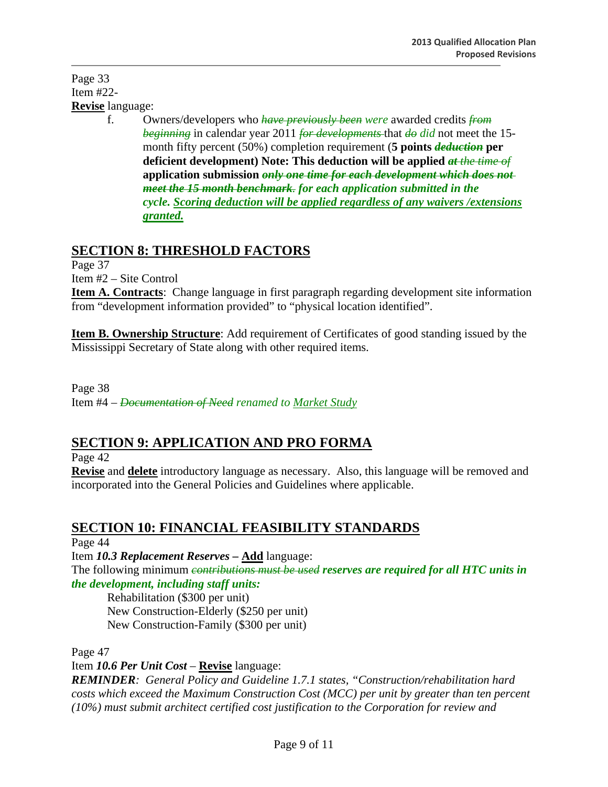Page 33 Item #22- **Revise** language:

 f. Owners/developers who *have previously been were* awarded credits *from beginning* in calendar year 2011 *for developments* that *do did* not meet the 15 month fifty percent (50%) completion requirement (**5 points** *deduction* **per deficient development) Note: This deduction will be applied** *at the time of* **application submission** *only one time for each development which does not meet the 15 month benchmark. for each application submitted in the cycle. Scoring deduction will be applied regardless of any waivers /extensions granted.*

# **SECTION 8: THRESHOLD FACTORS**

Page 37

Item #2 – Site Control

**Item A. Contracts**: Change language in first paragraph regarding development site information from "development information provided" to "physical location identified".

**Item B. Ownership Structure**: Add requirement of Certificates of good standing issued by the Mississippi Secretary of State along with other required items.

Page 38 Item #4 – *Documentation of Need renamed to Market Study*

# **SECTION 9: APPLICATION AND PRO FORMA**

Page 42

**Revise** and **delete** introductory language as necessary. Also, this language will be removed and incorporated into the General Policies and Guidelines where applicable.

# **SECTION 10: FINANCIAL FEASIBILITY STANDARDS**

Page 44

Item *10.3 Replacement Reserves –* **Add** language: The following minimum *contributions must be used reserves are required for all HTC units in the development, including staff units:* 

Rehabilitation (\$300 per unit) New Construction-Elderly (\$250 per unit) New Construction-Family (\$300 per unit)

Page 47

Item *10.6 Per Unit Cost* – **Revise** language:

*REMINDER: General Policy and Guideline 1.7.1 states, "Construction/rehabilitation hard costs which exceed the Maximum Construction Cost (MCC) per unit by greater than ten percent (10%) must submit architect certified cost justification to the Corporation for review and*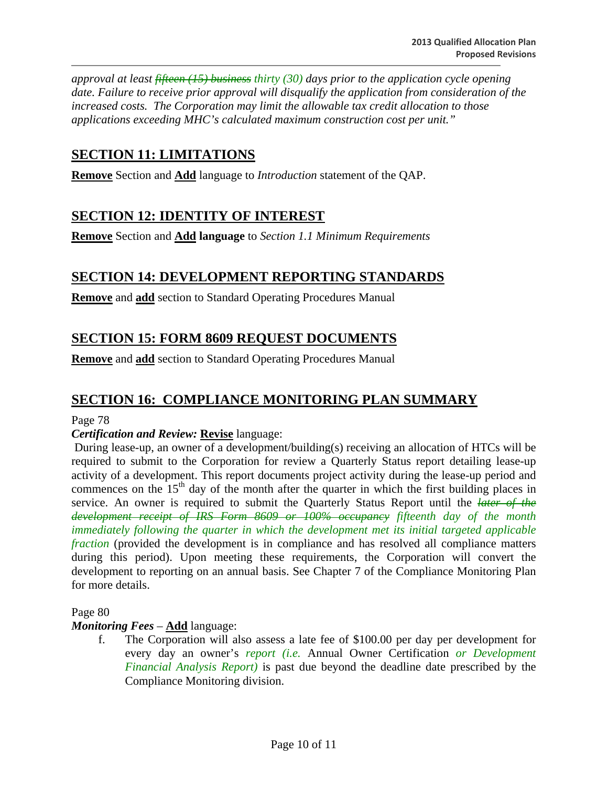*approval at least fifteen (15) business thirty (30) days prior to the application cycle opening date. Failure to receive prior approval will disqualify the application from consideration of the increased costs. The Corporation may limit the allowable tax credit allocation to those applications exceeding MHC's calculated maximum construction cost per unit."*

# **SECTION 11: LIMITATIONS**

**Remove** Section and **Add** language to *Introduction* statement of the QAP.

## **SECTION 12: IDENTITY OF INTEREST**

**Remove** Section and **Add language** to *Section 1.1 Minimum Requirements* 

## **SECTION 14: DEVELOPMENT REPORTING STANDARDS**

**Remove** and **add** section to Standard Operating Procedures Manual

## **SECTION 15: FORM 8609 REQUEST DOCUMENTS**

**Remove** and **add** section to Standard Operating Procedures Manual

## **SECTION 16: COMPLIANCE MONITORING PLAN SUMMARY**

Page 78

#### *Certification and Review:* **Revise** language:

 During lease-up, an owner of a development/building(s) receiving an allocation of HTCs will be required to submit to the Corporation for review a Quarterly Status report detailing lease-up activity of a development. This report documents project activity during the lease-up period and commences on the  $15<sup>th</sup>$  day of the month after the quarter in which the first building places in service. An owner is required to submit the Quarterly Status Report until the *later of the development receipt of IRS Form 8609 or 100% occupancy fifteenth day of the month immediately following the quarter in which the development met its initial targeted applicable fraction* (provided the development is in compliance and has resolved all compliance matters during this period). Upon meeting these requirements, the Corporation will convert the development to reporting on an annual basis. See Chapter 7 of the Compliance Monitoring Plan for more details.

Page 80

#### *Monitoring Fees* – **Add** language:

f. The Corporation will also assess a late fee of \$100.00 per day per development for every day an owner's *report (i.e.* Annual Owner Certification *or Development Financial Analysis Report)* is past due beyond the deadline date prescribed by the Compliance Monitoring division.